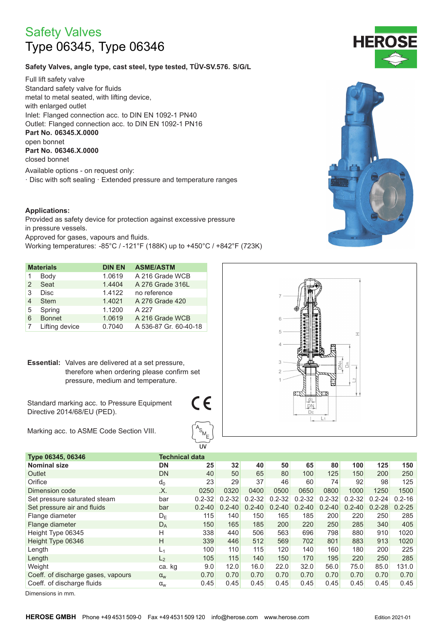# **Safety Valves** Type 06345, Type 06346

## Safety Valves, angle type, cast steel, type tested, TÜV-SV.576. S/G/L

Full lift safety valve Standard safety valve for fluids metal to metal seated, with lifting device, with enlarged outlet Inlet: Flanged connection acc. to DIN EN 1092-1 PN40 Outlet: Flanged connection acc. to DIN EN 1092-1 PN16 Part No. 06345.X.0000 open bonnet Part No. 06346.X.0000 closed bonnet

Available options - on request only: · Disc with soft sealing · Extended pressure and temperature ranges

#### **Applications:**

Provided as safety device for protection against excessive pressure in pressure vessels. Approved for gases, vapours and fluids. Working temperatures: -85°C / -121°F (188K) up to +450°C / +842°F (723K)

|   | <b>Materials</b> | <b>DIN EN</b> | <b>ASME/ASTM</b>      |
|---|------------------|---------------|-----------------------|
|   | Body             | 1.0619        | A 216 Grade WCB       |
| 2 | Seat             | 1.4404        | A 276 Grade 316L      |
| 3 | <b>Disc</b>      | 1.4122        | no reference          |
| 4 | <b>Stem</b>      | 1.4021        | A 276 Grade 420       |
| 5 | Spring           | 1.1200        | A 227                 |
| 6 | <b>Bonnet</b>    | 1.0619        | A 216 Grade WCB       |
|   | Lifting device   | 0.7040        | A 536-87 Gr. 60-40-18 |

**Essential:** Valves are delivered at a set pressure. therefore when ordering please confirm set pressure, medium and temperature.

Standard marking acc. to Pressure Equipment Directive 2014/68/EU (PED).

Marking acc. to ASME Code Section VIII.



| Type 06345, 06346                  | <b>Technical data</b> |            |            |            |            |            |            |            |            |            |
|------------------------------------|-----------------------|------------|------------|------------|------------|------------|------------|------------|------------|------------|
| <b>Nominal size</b>                | DN                    | 25         | 32         | 40         | 50         | 65         | 80         | 100        | 125        | 150        |
| Outlet                             | <b>DN</b>             | 40         | 50         | 65         | 80         | 100        | 125        | 150        | 200        | 250        |
| Orifice                            | $d_0$                 | 23         | 29         | 37         | 46         | 60         | 74         | 92         | 98         | 125        |
| Dimension code                     | .X.                   | 0250       | 0320       | 0400       | 0500       | 0650       | 0800       | 1000       | 1250       | 1500       |
| Set pressure saturated steam       | bar                   | $0.2 - 32$ | $0.2 - 32$ | $0.2 - 32$ | $0.2 - 32$ | $0.2 - 32$ | $0.2 - 32$ | $0.2 - 32$ | $0.2 - 24$ | $0.2 - 16$ |
| Set pressure air and fluids        | bar                   | $0.2 - 40$ | $0.2 - 40$ | $0.2 - 40$ | $0.2 - 40$ | $0.2 - 40$ | $0.2 - 40$ | $0.2 - 40$ | $0.2 - 28$ | $0.2 - 25$ |
| Flange diameter                    | $D_{E}$               | 115        | 140        | 150        | 165        | 185        | 200        | 220        | 250        | 285        |
| Flange diameter                    | $D_A$                 | 150        | 165        | 185        | 200        | 220        | 250        | 285        | 340        | 405        |
| Height Type 06345                  | H                     | 338        | 440        | 506        | 563        | 696        | 798        | 880        | 910        | 1020       |
| Height Type 06346                  | H                     | 339        | 446        | 512        | 569        | 702        | 801        | 883        | 913        | 1020       |
| Length                             | $L_1$                 | 100        | 110        | 115        | 120        | 140        | 160        | 180        | 200        | 225        |
| Length                             | L <sub>2</sub>        | 105        | 115        | 140        | 150        | 170        | 195        | 220        | 250        | 285        |
| Weight                             | ca. kg                | 9.0        | 12.0       | 16.0       | 22.0       | 32.0       | 56.0       | 75.0       | 85.0       | 131.0      |
| Coeff. of discharge gases, vapours | $\alpha_{w}$          | 0.70       | 0.70       | 0.70       | 0.70       | 0.70       | 0.70       | 0.70       | 0.70       | 0.70       |
| Coeff. of discharge fluids         | $\alpha_{w}$          | 0.45       | 0.45       | 0.45       | 0.45       | 0.45       | 0.45       | 0.45       | 0.45       | 0.45       |

 $\epsilon$ 

Dimensions in mm.